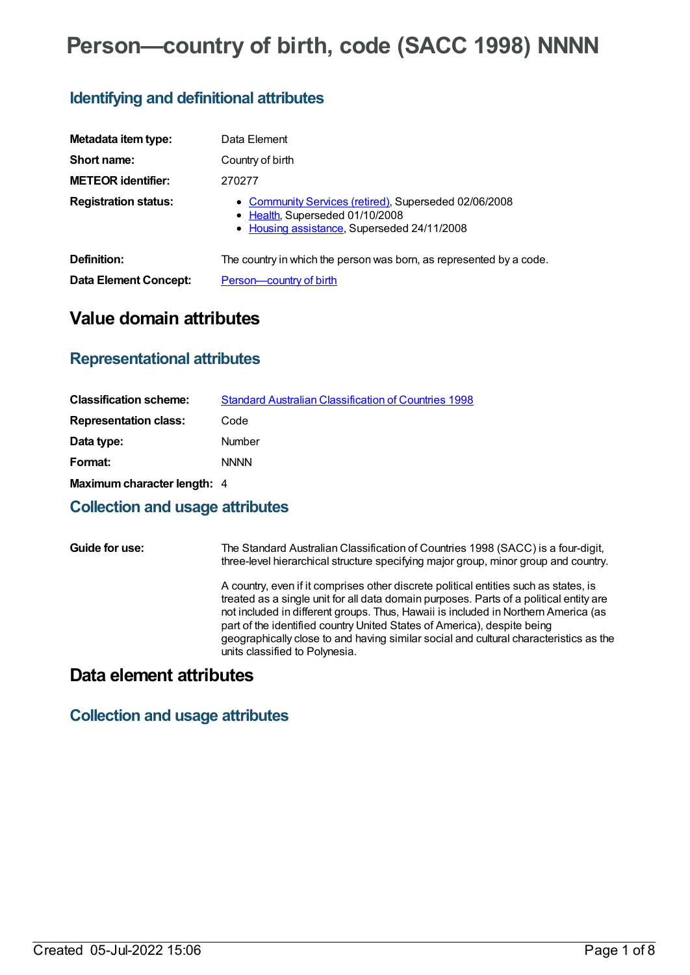# **Person—country of birth, code (SACC 1998) NNNN**

## **Identifying and definitional attributes**

| Metadata item type:         | Data Element                                                                                                                            |
|-----------------------------|-----------------------------------------------------------------------------------------------------------------------------------------|
| Short name:                 | Country of birth                                                                                                                        |
| <b>METEOR identifier:</b>   | 270277                                                                                                                                  |
| <b>Registration status:</b> | • Community Services (retired), Superseded 02/06/2008<br>• Health, Superseded 01/10/2008<br>• Housing assistance, Superseded 24/11/2008 |
| Definition:                 | The country in which the person was born, as represented by a code.                                                                     |
| Data Element Concept:       | Person-country of birth                                                                                                                 |

# **Value domain attributes**

## **Representational attributes**

| <b>Classification scheme:</b> | <b>Standard Australian Classification of Countries 1998</b> |
|-------------------------------|-------------------------------------------------------------|
| <b>Representation class:</b>  | Code                                                        |
| Data type:                    | <b>Number</b>                                               |
| Format:                       | <b>NNNN</b>                                                 |
| Maximum character length: 4   |                                                             |

#### **Collection and usage attributes**

**Guide for use:** The Standard Australian Classification of Countries 1998 (SACC) is a four-digit, three-level hierarchical structure specifying major group, minor group and country. A country, even if it comprises other discrete political entities such as states, is treated as a single unit for all data domain purposes. Parts of a political entity are not included in different groups. Thus, Hawaii is included in Northern America (as part of the identified country United States of America), despite being geographically close to and having similar social and cultural characteristics as the units classified to Polynesia.

## **Data element attributes**

### **Collection and usage attributes**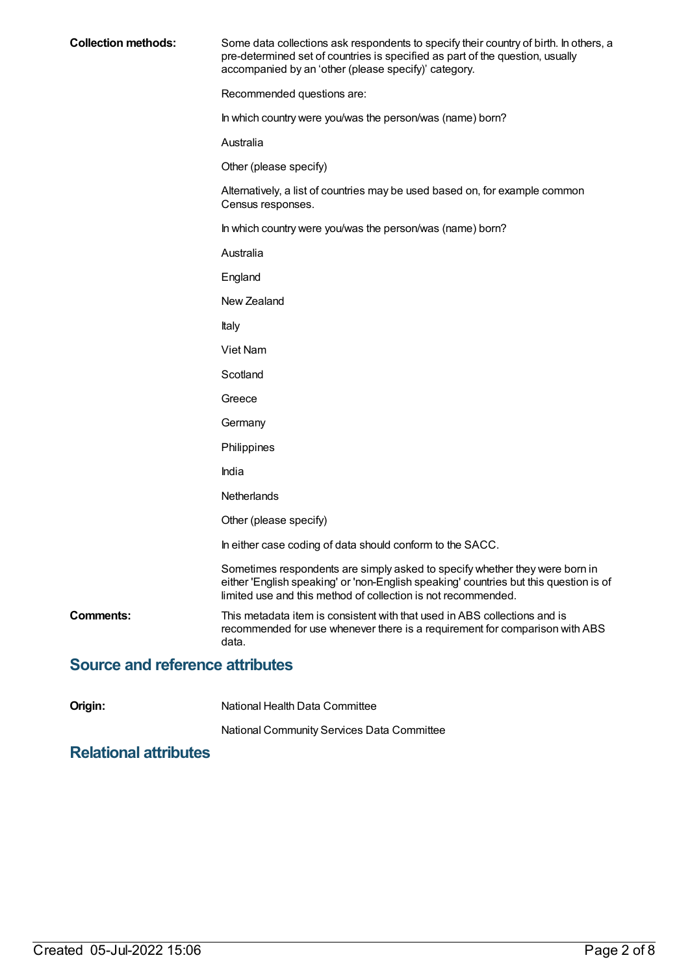| <b>Collection methods:</b>             | Some data collections ask respondents to specify their country of birth. In others, a<br>pre-determined set of countries is specified as part of the question, usually<br>accompanied by an 'other (please specify)' category.        |
|----------------------------------------|---------------------------------------------------------------------------------------------------------------------------------------------------------------------------------------------------------------------------------------|
|                                        | Recommended questions are:                                                                                                                                                                                                            |
|                                        | In which country were you/was the person/was (name) born?                                                                                                                                                                             |
|                                        | Australia                                                                                                                                                                                                                             |
|                                        | Other (please specify)                                                                                                                                                                                                                |
|                                        | Alternatively, a list of countries may be used based on, for example common<br>Census responses.                                                                                                                                      |
|                                        | In which country were you/was the person/was (name) born?                                                                                                                                                                             |
|                                        | Australia                                                                                                                                                                                                                             |
|                                        | England                                                                                                                                                                                                                               |
|                                        | New Zealand                                                                                                                                                                                                                           |
|                                        | Italy                                                                                                                                                                                                                                 |
|                                        | Viet Nam                                                                                                                                                                                                                              |
|                                        | Scotland                                                                                                                                                                                                                              |
|                                        | Greece                                                                                                                                                                                                                                |
|                                        | Germany                                                                                                                                                                                                                               |
|                                        | Philippines                                                                                                                                                                                                                           |
|                                        | India                                                                                                                                                                                                                                 |
|                                        | Netherlands                                                                                                                                                                                                                           |
|                                        | Other (please specify)                                                                                                                                                                                                                |
|                                        | In either case coding of data should conform to the SACC.                                                                                                                                                                             |
|                                        | Sometimes respondents are simply asked to specify whether they were born in<br>either 'English speaking' or 'non-English speaking' countries but this question is of<br>limited use and this method of collection is not recommended. |
| Comments:                              | This metadata item is consistent with that used in ABS collections and is<br>recommended for use whenever there is a requirement for comparison with ABS<br>data.                                                                     |
| <b>Source and reference attributes</b> |                                                                                                                                                                                                                                       |

**Origin:** National Health Data Committee

National Community Services Data Committee

## **Relational attributes**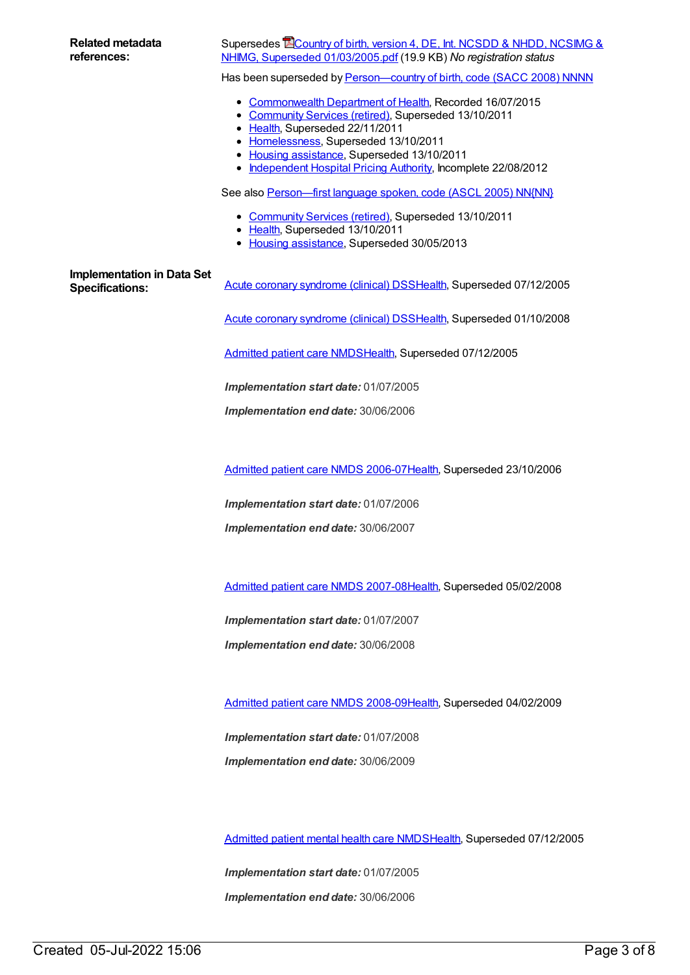| <b>Related metadata</b><br>references:                      | Supersedes <b>ECountry of birth, version 4, DE, Int. NCSDD &amp; NHDD, NCSIMG &amp;</b><br>NHIMG, Superseded 01/03/2005.pdf (19.9 KB) No registration status                                                                                                                                                    |
|-------------------------------------------------------------|-----------------------------------------------------------------------------------------------------------------------------------------------------------------------------------------------------------------------------------------------------------------------------------------------------------------|
|                                                             | Has been superseded by Person-country of birth, code (SACC 2008) NNNN                                                                                                                                                                                                                                           |
|                                                             | • Commonwealth Department of Health, Recorded 16/07/2015<br>• Community Services (retired), Superseded 13/10/2011<br>• Health, Superseded 22/11/2011<br>• Homelessness, Superseded 13/10/2011<br>• Housing assistance, Superseded 13/10/2011<br>• Independent Hospital Pricing Authority, Incomplete 22/08/2012 |
|                                                             | See also Person-first language spoken, code (ASCL 2005) NN{NN}                                                                                                                                                                                                                                                  |
|                                                             | • Community Services (retired), Superseded 13/10/2011<br>• Health, Superseded 13/10/2011<br>• Housing assistance, Superseded 30/05/2013                                                                                                                                                                         |
| <b>Implementation in Data Set</b><br><b>Specifications:</b> | Acute coronary syndrome (clinical) DSSHealth, Superseded 07/12/2005                                                                                                                                                                                                                                             |
|                                                             | Acute coronary syndrome (clinical) DSSHealth, Superseded 01/10/2008                                                                                                                                                                                                                                             |
|                                                             | Admitted patient care NMDSHealth, Superseded 07/12/2005                                                                                                                                                                                                                                                         |
|                                                             | Implementation start date: 01/07/2005                                                                                                                                                                                                                                                                           |
|                                                             | Implementation end date: 30/06/2006                                                                                                                                                                                                                                                                             |
|                                                             |                                                                                                                                                                                                                                                                                                                 |
|                                                             | Admitted patient care NMDS 2006-07 Health, Superseded 23/10/2006                                                                                                                                                                                                                                                |
|                                                             | Implementation start date: 01/07/2006                                                                                                                                                                                                                                                                           |
|                                                             | Implementation end date: 30/06/2007                                                                                                                                                                                                                                                                             |
|                                                             |                                                                                                                                                                                                                                                                                                                 |
|                                                             | Admitted patient care NMDS 2007-08Health, Superseded 05/02/2008                                                                                                                                                                                                                                                 |
|                                                             | Implementation start date: 01/07/2007                                                                                                                                                                                                                                                                           |
|                                                             | Implementation end date: 30/06/2008                                                                                                                                                                                                                                                                             |
|                                                             |                                                                                                                                                                                                                                                                                                                 |
|                                                             | Admitted patient care NMDS 2008-09Health, Superseded 04/02/2009                                                                                                                                                                                                                                                 |
|                                                             | Implementation start date: 01/07/2008                                                                                                                                                                                                                                                                           |
|                                                             | Implementation end date: 30/06/2009                                                                                                                                                                                                                                                                             |

[Admitted](https://meteor.aihw.gov.au/content/273048) patient mental health care NMD[SHealth](https://meteor.aihw.gov.au/RegistrationAuthority/12), Superseded 07/12/2005

*Implementation start date:* 01/07/2005 *Implementation end date:* 30/06/2006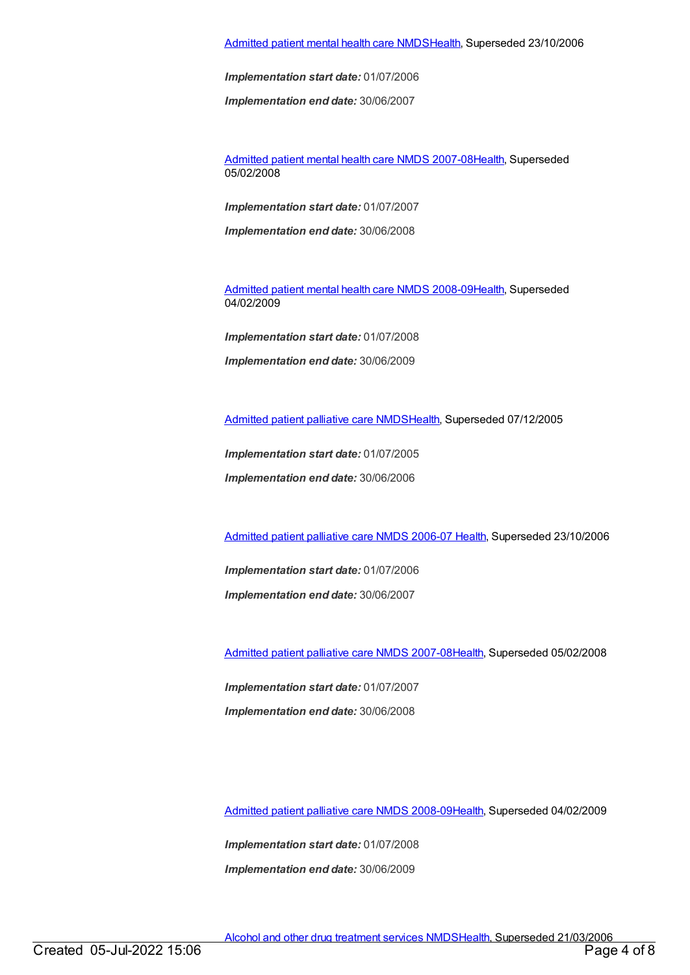[Admitted](https://meteor.aihw.gov.au/content/334031) patient mental health care NMD[SHealth](https://meteor.aihw.gov.au/RegistrationAuthority/12), Superseded 23/10/2006

*Implementation start date:* 01/07/2006

*Implementation end date:* 30/06/2007

[Admitted](https://meteor.aihw.gov.au/content/345110) patient mental health care NMDS 2007-08[Health](https://meteor.aihw.gov.au/RegistrationAuthority/12), Superseded 05/02/2008

*Implementation start date:* 01/07/2007

*Implementation end date:* 30/06/2008

[Admitted](https://meteor.aihw.gov.au/content/362305) patient mental health care NMDS 2008-09[Health](https://meteor.aihw.gov.au/RegistrationAuthority/12), Superseded 04/02/2009

*Implementation start date:* 01/07/2008 *Implementation end date:* 30/06/2009

[Admitted](https://meteor.aihw.gov.au/content/273046) patient palliative care NMD[SHealth](https://meteor.aihw.gov.au/RegistrationAuthority/12), Superseded 07/12/2005

*Implementation start date:* 01/07/2005

*Implementation end date:* 30/06/2006

[Admitted](https://meteor.aihw.gov.au/content/334050) patient palliative care NMDS 2006-07 [Health](https://meteor.aihw.gov.au/RegistrationAuthority/12), Superseded 23/10/2006

*Implementation start date:* 01/07/2006 *Implementation end date:* 30/06/2007

[Admitted](https://meteor.aihw.gov.au/content/339098) patient palliative care NMDS 2007-08[Health](https://meteor.aihw.gov.au/RegistrationAuthority/12), Superseded 05/02/2008

*Implementation start date:* 01/07/2007 *Implementation end date:* 30/06/2008

[Admitted](https://meteor.aihw.gov.au/content/361960) patient palliative care NMDS 2008-09[Health](https://meteor.aihw.gov.au/RegistrationAuthority/12), Superseded 04/02/2009

*Implementation start date:* 01/07/2008 *Implementation end date:* 30/06/2009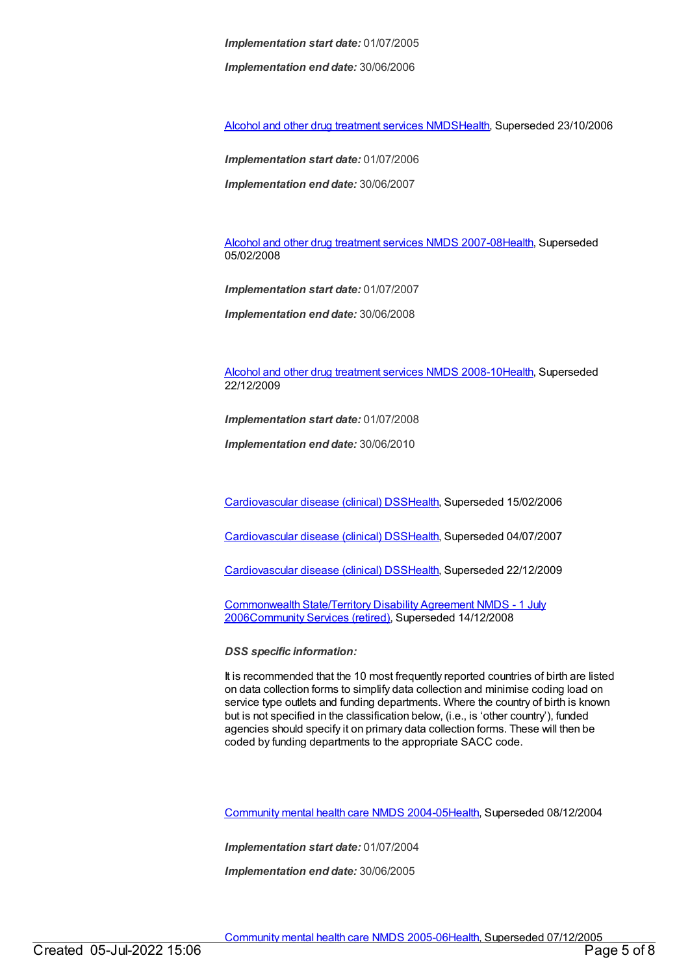*Implementation start date:* 01/07/2005

*Implementation end date:* 30/06/2006

Alcohol and other drug [treatment](https://meteor.aihw.gov.au/content/334288) services NMD[SHealth](https://meteor.aihw.gov.au/RegistrationAuthority/12), Superseded 23/10/2006

*Implementation start date:* 01/07/2006

*Implementation end date:* 30/06/2007

Alcohol and other drug [treatment](https://meteor.aihw.gov.au/content/345144) services NMDS 2007-0[8Health](https://meteor.aihw.gov.au/RegistrationAuthority/12), Superseded 05/02/2008

*Implementation start date:* 01/07/2007

*Implementation end date:* 30/06/2008

Alcohol and other drug [treatment](https://meteor.aihw.gov.au/content/362318) services NMDS 2008-1[0Health](https://meteor.aihw.gov.au/RegistrationAuthority/12), Superseded 22/12/2009

*Implementation start date:* 01/07/2008

*Implementation end date:* 30/06/2010

[Cardiovascular](https://meteor.aihw.gov.au/content/273052) disease (clinical) DS[SHealth,](https://meteor.aihw.gov.au/RegistrationAuthority/12) Superseded 15/02/2006

[Cardiovascular](https://meteor.aihw.gov.au/content/348289) disease (clinical) DS[SHealth,](https://meteor.aihw.gov.au/RegistrationAuthority/12) Superseded 04/07/2007

[Cardiovascular](https://meteor.aihw.gov.au/content/353668) disease (clinical) DS[SHealth,](https://meteor.aihw.gov.au/RegistrationAuthority/12) Superseded 22/12/2009

[Commonwealth](https://meteor.aihw.gov.au/content/317350) State/Territory Disability Agreement NMDS - 1 July 200[6Community](https://meteor.aihw.gov.au/RegistrationAuthority/1) Services (retired), Superseded 14/12/2008

*DSS specific information:*

It is recommended that the 10 most frequently reported countries of birth are listed on data collection forms to simplify data collection and minimise coding load on service type outlets and funding departments. Where the country of birth is known but is not specified in the classification below, (i.e., is 'other country'), funded agencies should specify it on primary data collection forms. These will then be coded by funding departments to the appropriate SACC code.

[Community](https://meteor.aihw.gov.au/content/273044) mental health care NMDS 2004-0[5Health](https://meteor.aihw.gov.au/RegistrationAuthority/12), Superseded 08/12/2004

*Implementation start date:* 01/07/2004

*Implementation end date:* 30/06/2005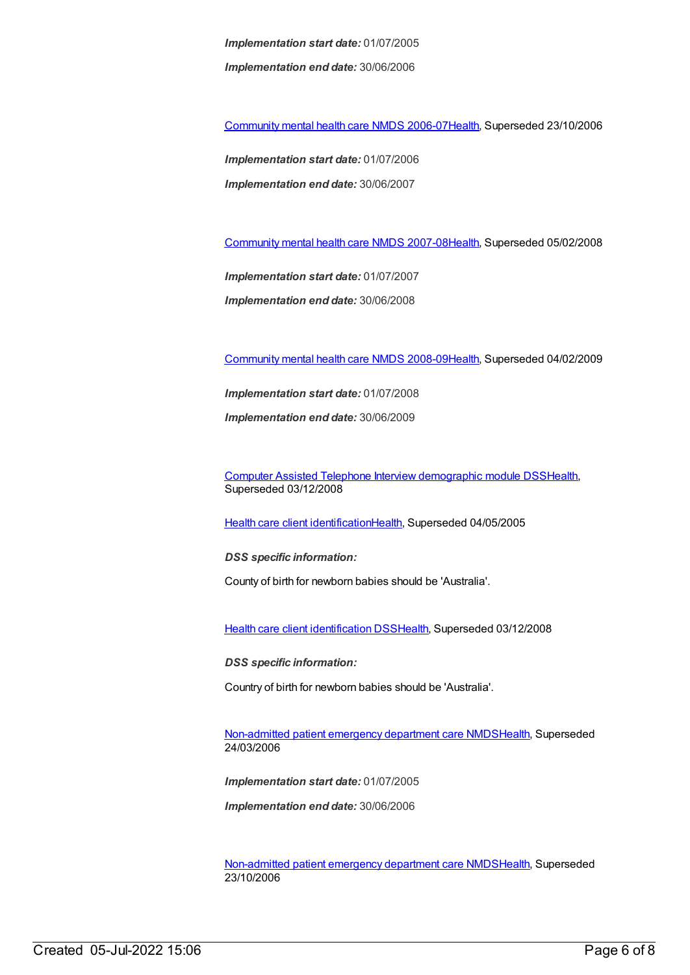*Implementation start date:* 01/07/2005 *Implementation end date:* 30/06/2006

[Community](https://meteor.aihw.gov.au/content/334069) mental health care NMDS 2006-0[7Health](https://meteor.aihw.gov.au/RegistrationAuthority/12), Superseded 23/10/2006

*Implementation start date:* 01/07/2006 *Implementation end date:* 30/06/2007

[Community](https://meteor.aihw.gov.au/content/345116) mental health care NMDS 2007-0[8Health](https://meteor.aihw.gov.au/RegistrationAuthority/12), Superseded 05/02/2008

*Implementation start date:* 01/07/2007 *Implementation end date:* 30/06/2008

[Community](https://meteor.aihw.gov.au/content/362308) mental health care NMDS 2008-0[9Health](https://meteor.aihw.gov.au/RegistrationAuthority/12), Superseded 04/02/2009

*Implementation start date:* 01/07/2008 *Implementation end date:* 30/06/2009

Computer Assisted Telephone Interview [demographic](https://meteor.aihw.gov.au/content/291112) module DS[SHealth](https://meteor.aihw.gov.au/RegistrationAuthority/12), Superseded 03/12/2008

Health care client [identification](https://meteor.aihw.gov.au/content/273055)[Health](https://meteor.aihw.gov.au/RegistrationAuthority/12), Superseded 04/05/2005

*DSS specific information:*

County of birth for newborn babies should be 'Australia'.

Health care client [identification](https://meteor.aihw.gov.au/content/288765) DSS[Health,](https://meteor.aihw.gov.au/RegistrationAuthority/12) Superseded 03/12/2008

*DSS specific information:*

Country of birth for newborn babies should be 'Australia'.

[Non-admitted](https://meteor.aihw.gov.au/content/319769) patient emergency department care NMD[SHealth](https://meteor.aihw.gov.au/RegistrationAuthority/12), Superseded 24/03/2006

*Implementation start date:* 01/07/2005

*Implementation end date:* 30/06/2006

[Non-admitted](https://meteor.aihw.gov.au/content/322655) patient emergency department care NMD[SHealth](https://meteor.aihw.gov.au/RegistrationAuthority/12), Superseded 23/10/2006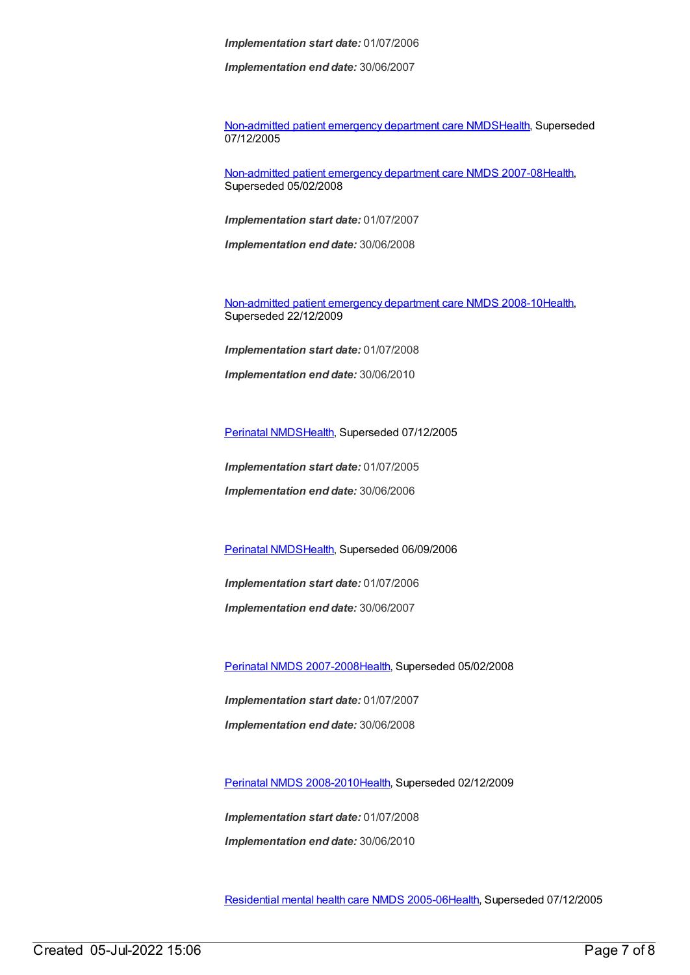*Implementation start date:* 01/07/2006

*Implementation end date:* 30/06/2007

[Non-admitted](https://meteor.aihw.gov.au/content/273053) patient emergency department care NMD[SHealth](https://meteor.aihw.gov.au/RegistrationAuthority/12), Superseded 07/12/2005

[Non-admitted](https://meteor.aihw.gov.au/content/349836) patient emergency department care NMDS 2007-08[Health](https://meteor.aihw.gov.au/RegistrationAuthority/12), Superseded 05/02/2008

*Implementation start date:* 01/07/2007

*Implementation end date:* 30/06/2008

[Non-admitted](https://meteor.aihw.gov.au/content/363530) patient emergency department care NMDS 2008-10[Health](https://meteor.aihw.gov.au/RegistrationAuthority/12), Superseded 22/12/2009

*Implementation start date:* 01/07/2008

*Implementation end date:* 30/06/2010

[Perinatal](https://meteor.aihw.gov.au/content/273043) NMDS[Health](https://meteor.aihw.gov.au/RegistrationAuthority/12), Superseded 07/12/2005

*Implementation start date:* 01/07/2005

*Implementation end date:* 30/06/2006

[Perinatal](https://meteor.aihw.gov.au/content/290828) NMDS[Health](https://meteor.aihw.gov.au/RegistrationAuthority/12), Superseded 06/09/2006

*Implementation start date:* 01/07/2006

*Implementation end date:* 30/06/2007

Perinatal NMDS [2007-2008](https://meteor.aihw.gov.au/content/340684)[Health,](https://meteor.aihw.gov.au/RegistrationAuthority/12) Superseded 05/02/2008

*Implementation start date:* 01/07/2007 *Implementation end date:* 30/06/2008

Perinatal NMDS [2008-2010](https://meteor.aihw.gov.au/content/362313)[Health,](https://meteor.aihw.gov.au/RegistrationAuthority/12) Superseded 02/12/2009

*Implementation start date:* 01/07/2008 *Implementation end date:* 30/06/2010

[Residential](https://meteor.aihw.gov.au/content/273056) mental health care NMDS 2005-0[6Health](https://meteor.aihw.gov.au/RegistrationAuthority/12), Superseded 07/12/2005